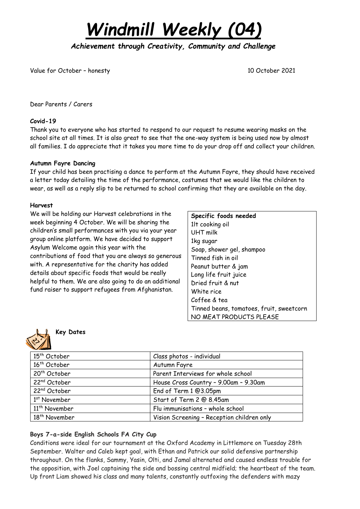*Windmill Weekly (04)*

*Achievement through Creativity, Community and Challenge* 

Value for October – honesty 10 October 2021

Dear Parents / Carers

## **Covid-19**

Thank you to everyone who has started to respond to our request to resume wearing masks on the school site at all times. It is also great to see that the one-way system is being used now by almost all families. I do appreciate that it takes you more time to do your drop off and collect your children.

### **Autumn Fayre Dancing**

If your child has been practising a dance to perform at the Autumn Fayre, they should have received a letter today detailing the time of the performance, costumes that we would like the children to wear, as well as a reply slip to be returned to school confirming that they are available on the day.

### **Harvest**

We will be holding our Harvest celebrations in the week beginning 4 October. We will be sharing the children's small performances with you via your year group online platform. We have decided to support Asylum Welcome again this year with the contributions of food that you are always so generous with. A representative for the charity has added details about specific foods that would be really helpful to them. We are also going to do an additional fund raiser to support refugees from Afghanistan.

| Specific foods needed                    |
|------------------------------------------|
| 1lt cooking oil                          |
| UHT milk                                 |
| 1kg sugar                                |
| Soap, shower gel, shampoo                |
| Tinned fish in oil                       |
| Peanut butter & jam                      |
| Long life fruit juice                    |
| Dried fruit & nut                        |
| White rice                               |
| Coffee & tea                             |
| Tinned beans, tomatoes, fruit, sweetcorn |
| NO MEAT PRODUCTS PLEASE                  |



# **Key Dates**

| 15 <sup>th</sup> October  | Class photos - individual                  |
|---------------------------|--------------------------------------------|
| 16 <sup>th</sup> October  | Autumn Fayre                               |
| 20 <sup>th</sup> October  | Parent Interviews for whole school         |
| 22 <sup>nd</sup> October  | House Cross Country - 9.00am - 9.30am      |
| 22 <sup>nd</sup> October  | End of Term 1 @3.05pm                      |
| 1 <sup>st</sup> November  | Start of Term 2 @ 8.45am                   |
| 11 <sup>th</sup> November | Flu immunisations - whole school           |
| 18 <sup>th</sup> November | Vision Screening - Reception children only |

## **Boys 7-a-side English Schools FA City Cup**

Conditions were ideal for our tournament at the Oxford Academy in Littlemore on Tuesday 28th September. Walter and Caleb kept goal, with Ethan and Patrick our solid defensive partnership throughout. On the flanks, Sammy, Yasin, Olti, and Jamal alternated and caused endless trouble for the opposition, with Joel captaining the side and bossing central midfield; the heartbeat of the team. Up front Liam showed his class and many talents, constantly outfoxing the defenders with mazy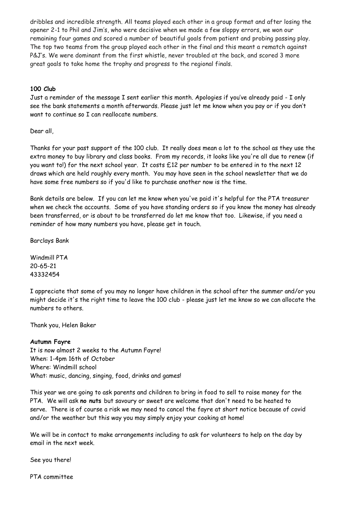dribbles and incredible strength. All teams played each other in a group format and after losing the opener 2-1 to Phil and Jim's, who were decisive when we made a few sloppy errors, we won our remaining four games and scored a number of beautiful goals from patient and probing passing play. The top two teams from the group played each other in the final and this meant a rematch against P&J's. We were dominant from the first whistle, never troubled at the back, and scored 3 more great goals to take home the trophy and progress to the regional finals.

## **100 Club**

Just a reminder of the message I sent earlier this month. Apologies if you've already paid - I only see the bank statements a month afterwards. Please just let me know when you pay or if you don't want to continue so I can reallocate numbers.

Dear all,

Thanks for your past support of the 100 club. It really does mean a lot to the school as they use the extra money to buy library and class books. From my records, it looks like you're all due to renew (if you want to!) for the next school year. It costs £12 per number to be entered in to the next 12 draws which are held roughly every month. You may have seen in the school newsletter that we do have some free numbers so if you'd like to purchase another now is the time.

Bank details are below. If you can let me know when you've paid it's helpful for the PTA treasurer when we check the accounts. Some of you have standing orders so if you know the money has already been transferred, or is about to be transferred do let me know that too. Likewise, if you need a reminder of how many numbers you have, please get in touch.

Barclays Bank

Windmill PTA 20-65-21 43332454

I appreciate that some of you may no longer have children in the school after the summer and/or you might decide it's the right time to leave the 100 club - please just let me know so we can allocate the numbers to others.

Thank you, Helen Baker

## **Autumn Fayre**

It is now almost 2 weeks to the Autumn Fayre! When: 1-4pm 16th of October Where: Windmill school What: music, dancing, singing, food, drinks and games!

This year we are going to ask parents and children to bring in food to sell to raise money for the PTA. We will ask **no nuts** but savoury or sweet are welcome that don't need to be heated to serve. There is of course a risk we may need to cancel the fayre at short notice because of covid and/or the weather but this way you may simply enjoy your cooking at home!

We will be in contact to make arrangements including to ask for volunteers to help on the day by email in the next week.

See you there!

PTA committee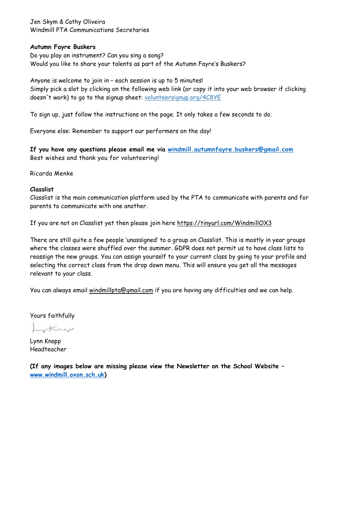Jen Skym & Cathy Oliveira Windmill PTA Communications Secretaries

#### **Autumn Fayre Buskers**

Do you play an instrument? Can you sing a song? Would you like to share your talents as part of the Autumn Fayre's Buskers?

Anyone is welcome to join in – each session is up to 5 minutes! Simply pick a slot by clicking on the following web link (or copy it into your web browser if clicking doesn't work) to go to the signup sheet: [volunteersignup.org/4C8YE](https://volunteersignup.org/4C8YE)

To sign up, just follow the instructions on the page. It only takes a few seconds to do.

Everyone else: Remember to support our performers on the day!

**If you have any questions please email me via [windmill.autumnfayre.buskers@gmail.com](mailto:windmill.autumnfayre.buskers@gmail.com)** Best wishes and thank you for volunteering!

Ricarda Menke

### **Classlist**

Classlist is the main communication platform used by the PTA to communicate with parents and for parents to communicate with one another.

If you are not on Classlist yet then please join here <https://tinyurl.com/WindmillOX3>

There are still quite a few people 'unassigned' to a group on Classlist. This is mostly in year groups where the classes were shuffled over the summer. GDPR does not permit us to have class lists to reassign the new groups. You can assign yourself to your current class by going to your profile and selecting the correct class from the drop down menu. This will ensure you get all the messages relevant to your class.

You can always email [windmillpta@gmail.com](mailto:windmillpta@gmail.com) if you are having any difficulties and we can help.

Yours faithfully

Krep

Lynn Knapp Headteacher

**(If any images below are missing please view the Newsletter on the School Website – [www.windmill.oxon.sch.uk\)](http://www.windmill.oxon.sch.uk/)**